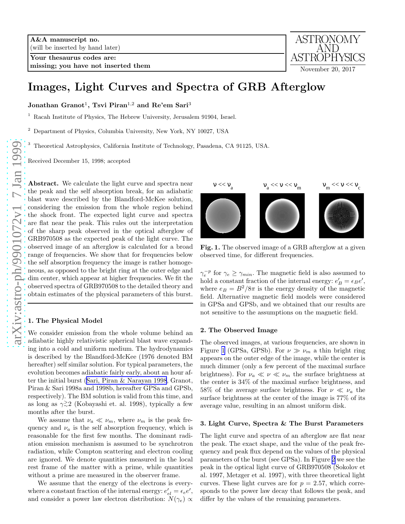Your thesaurus codes are: missing; you have not inserted them



# Images, Light Curves and Spectra of GRB Afterglow

Jonathan Granot $^1$ , Tsvi Piran $^{1,2}$  and Re'em Sari $^3$ 

<sup>1</sup> Racah Institute of Physics, The Hebrew University, Jerusalem 91904, Israel.

<sup>2</sup> Department of Physics, Columbia University, New York, NY 10027, USA

<sup>3</sup> Theoretical Astrophysics, California Institute of Technology, Pasadena, CA 91125, USA.

Received December 15, 1998; accepted

Abstract. We calculate the light curve and spectra near the peak and the self absorption break, for an adiabatic blast wave described by the Blandford-McKee solution, considering the emission from the whole region behind the shock front. The expected light curve and spectra are flat near the peak. This rules out the interpretation of the sharp peak observed in the optical afterglow of GRB970508 as the expected peak of the light curve. The observed image of an afterglow is calculated for a broad range of frequencies. We show that for frequencies below the self absorption frequency the image is rather homogeneous, as opposed to the bright ring at the outer edge and dim center, which appear at higher frequencies. We fit the observed spectra of GRB970508 to the detailed theory and obtain estimates of the physical parameters of this burst.

## 1. The Physical Model

We consider emission from the whole volume behind an adiabatic highly relativistic spherical blast wave expanding into a cold and uniform medium. The hydrodynamics is described by the Blandford-McKee (1976 denoted BM hereafter) self similar solution. For typical parameters, the evolution becomes adiabatic fairly early, about an hour after the initial burst([Sari, Piran & Narayan 1998](#page-1-0), Granot, Piran & Sari 1998a and 1998b, hereafter GPSa and GPSb, respectively). The BM solution is valid from this time, and as long as  $\gamma \gtrsim 2$  (Kobayashi et. al. 1998), typically a few months after the burst.

We assume that  $\nu_a \ll \nu_m$ , where  $\nu_m$  is the peak frequency and  $\nu_a$  is the self absorption frequency, which is reasonable for the first few months. The dominant radiation emission mechanism is assumed to be synchrotron radiation, while Compton scattering and electron cooling are ignored. We denote quantities measured in the local rest frame of the matter with a prime, while quantities without a prime are measured in the observer frame.

We assume that the energy of the electrons is everywhere a constant fraction of the internal energy:  $e'_{el} = \epsilon_e e'$ , and consider a power law electron distribution:  $N(\gamma_e) \propto$ 



Fig. 1. The observed image of a GRB afterglow at a given observed time, for different frequencies.

 $\gamma_e^{-p}$  for  $\gamma_e \ge \gamma_{min}$ . The magnetic field is also assumed to hold a constant fraction of the internal energy:  $e'$  $'_{B} = \epsilon_{B}e',$ where  $e_B = B^2/8\pi$  is the energy density of the magnetic field. Alternative magnetic field models were considered in GPSa and GPSb, and we obtained that our results are not sensitive to the assumptions on the magnetic field.

## 2. The Observed Image

The observed images, at various frequencies, are shown in Figure 1 (GPSa, GPSb). For  $\nu \gg \nu_m$  a thin bright ring appears on the outer edge of the image, while the center is much dimmer (only a few percent of the maximal surface brightness). For  $\nu_a \ll \nu \ll \nu_m$  the surface brightness at the center is 34% of the maximal surface brightness, and 58% of the average surface brightness. For  $\nu \ll \nu_a$  the surface brightness at the center of the image is 77% of its average value, resulting in an almost uniform disk.

## 3. Light Curve, Spectra & The Burst Parameters

The light curve and spectra of an afterglow are flat near the peak. The exact shape, and the value of the peak frequency and peak flux depend on the values of the physical parameters of the burst (see GPSa). In Figure [2](#page-1-0) we see the peak in the optical light curve of GRB970508 (Sokolov et al. 1997, Metzger et al. 1997), with three theoretical light curves. These light curves are for  $p = 2.57$ , which corresponds to the power law decay that follows the peak, and differ by the values of the remaining parameters.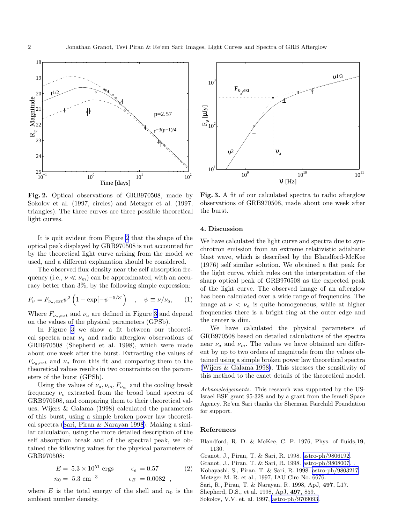<span id="page-1-0"></span>

Fig. 2. Optical observations of GRB970508, made by Sokolov et al. (1997, circles) and Metzger et al. (1997, triangles). The three curves are three possible theoretical light curves.

It is quit evident from Figure 2 that the shape of the optical peak displayed by GRB970508 is not accounted for by the theoretical light curve arising from the model we used, and a different explanation should be considered.

The observed flux density near the self absorption frequency (i.e.,  $\nu \ll \nu_m$ ) can be approximated, with an accuracy better than 3%, by the following simple expression:

$$
F_{\nu} = F_{\nu_a, ext} \psi^2 \left( 1 - \exp[-\psi^{-5/3}] \right) , \quad \psi \equiv \nu / \nu_a, \qquad (1)
$$

Where  $F_{\nu_a,ext}$  and  $\nu_a$  are defined in Figure 3 and depend on the values of the physical parameters (GPSb).

In Figure 3 we show a fit between our theoretical spectra near  $\nu_a$  and radio afterglow observations of GRB970508 (Shepherd et al. 1998), which were made about one week after the burst. Extracting the values of  $F_{\nu_a,ext}$  and  $\nu_a$  from this fit and comparing them to the theoretical values results in two constraints on the parameters of the burst (GPSb).

Using the values of  $\nu_a, \nu_m, F_{\nu_m}$  and the cooling break frequency  $\nu_c$  extracted from the broad band spectra of GRB970508, and comparing them to their theoretical values, Wijers & Galama (1998) calculated the parameters of this burst, using a simple broken power law theoretical spectra (Sari, Piran & Narayan 1998). Making a similar calculation, using the more detailed description of the self absorption break and of the spectral peak, we obtained the following values for the physical parameters of GRB970508:

$$
E = 5.3 \times 10^{51} \text{ ergs}
$$
  $\epsilon_e = 0.57$  (2)  
\n $n_0 = 5.3 \text{ cm}^{-3}$   $\epsilon_B = 0.0082$ ,

where  $E$  is the total energy of the shell and  $n_0$  is the ambient number density.



Fig. 3. A fit of our calculated spectra to radio afterglow observations of GRB970508, made about one week after the burst.

## 4. Discussion

We have calculated the light curve and spectra due to synchrotron emission from an extreme relativistic adiabatic blast wave, which is described by the Blandford-McKee (1976) self similar solution. We obtained a flat peak for the light curve, which rules out the interpretation of the sharp optical peak of GRB970508 as the expected peak of the light curve. The observed image of an afterglow has been calculated over a wide range of frequencies. The image at  $\nu < \nu_a$  is quite homogeneous, while at higher frequencies there is a bright ring at the outer edge and the center is dim.

We have calculated the physical parameters of GRB970508 based on detailed calculations of the spectra near  $\nu_a$  and  $\nu_m$ . The values we have obtained are different by up to two orders of magnitude from the values obtained using a simple broken power law theoretical spectra ([Wijers & Galama 1998\)](#page-2-0). This stresses the sensitivity of this method to the exact details of the theoretical model.

Acknowledgements. This research was supported by the US-Israel BSF grant 95-328 and by a grant from the Israeli Space Agency. Re'em Sari thanks the Sherman Fairchild Foundation for support.

#### References

Blandford, R. D. & McKee, C. F. 1976, Phys. of fluids,19, 1130.

Granot, J., Piran, T. & Sari, R. 1998. [astro-ph/9806192](http://arxiv.org/abs/astro-ph/9806192).

Granot, J., Piran, T. & Sari, R. 1998. [astro-ph/9808007](http://arxiv.org/abs/astro-ph/9808007). .

- Kobayashi, S., Piran, T. & Sari, R. 1998. [astro-ph/9803217.](http://arxiv.org/abs/astro-ph/9803217)
- Metzger M. R. et al., 1997, IAU Circ No. 6676.

Sari, R., Piran, T. & Narayan, R. 1998, ApJ, 497, L17.

Shepherd, D.S., et al. 1998, ApJ, 497, 859.

Sokolov, V.V. et. al. 1997, [astro-ph/9709093](http://arxiv.org/abs/astro-ph/9709093).